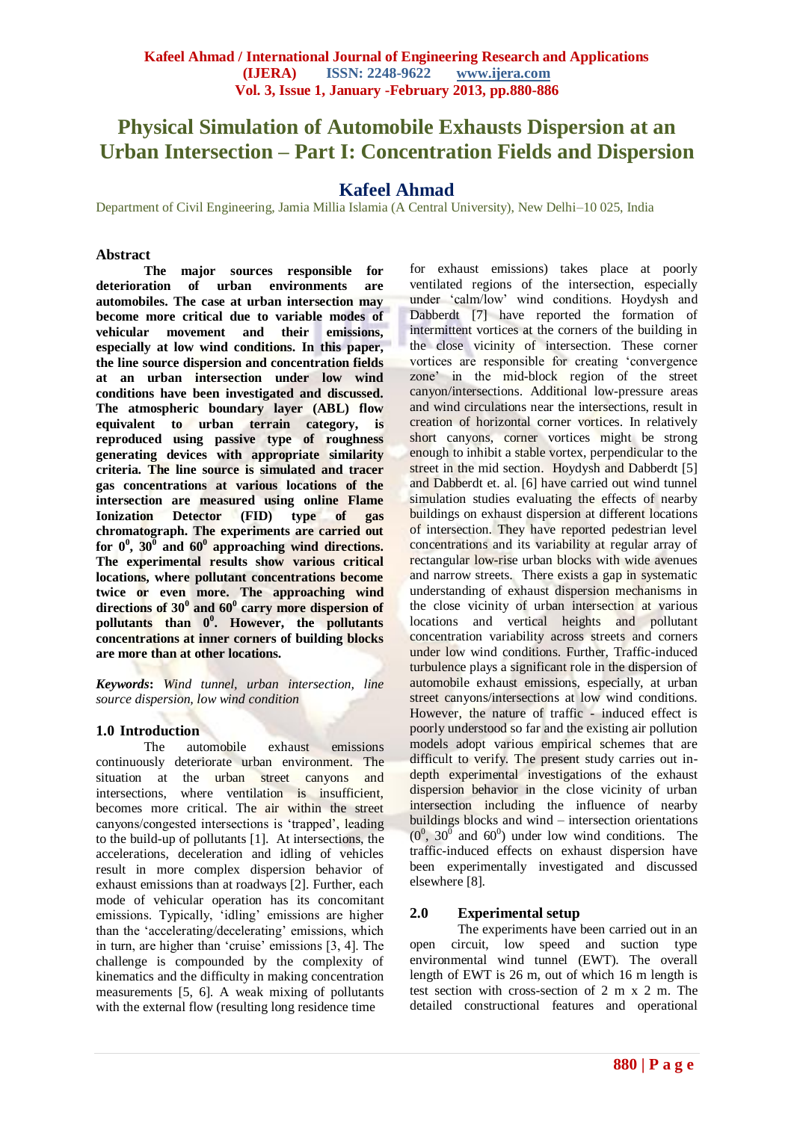# **Physical Simulation of Automobile Exhausts Dispersion at an Urban Intersection – Part I: Concentration Fields and Dispersion**

# **Kafeel Ahmad**

Department of Civil Engineering, Jamia Millia Islamia (A Central University), New Delhi–10 025, India

# **Abstract**

**The major sources responsible for deterioration of urban environments are automobiles. The case at urban intersection may become more critical due to variable modes of vehicular movement and their emissions, especially at low wind conditions. In this paper, the line source dispersion and concentration fields at an urban intersection under low wind conditions have been investigated and discussed. The atmospheric boundary layer (ABL) flow equivalent to urban terrain category, is reproduced using passive type of roughness generating devices with appropriate similarity criteria. The line source is simulated and tracer gas concentrations at various locations of the intersection are measured using online Flame Ionization Detector (FID) type of gas chromatograph. The experiments are carried out for 0<sup>0</sup> , 30<sup>0</sup> and 60<sup>0</sup> approaching wind directions. The experimental results show various critical locations, where pollutant concentrations become twice or even more. The approaching wind directions of 30<sup>0</sup> and 60<sup>0</sup> carry more dispersion of pollutants than 0<sup>0</sup> . However, the pollutants concentrations at inner corners of building blocks are more than at other locations.**

*Keywords***:** *Wind tunnel, urban intersection, line source dispersion, low wind condition*

# **1.0 Introduction**

The automobile exhaust emissions continuously deteriorate urban environment. The situation at the urban street canyons and intersections, where ventilation is insufficient, becomes more critical. The air within the street canyons/congested intersections is "trapped", leading to the build-up of pollutants [1]. At intersections, the accelerations, deceleration and idling of vehicles result in more complex dispersion behavior of exhaust emissions than at roadways [2]. Further, each mode of vehicular operation has its concomitant emissions. Typically, "idling" emissions are higher than the 'accelerating/decelerating' emissions, which in turn, are higher than 'cruise' emissions [3, 4]. The challenge is compounded by the complexity of kinematics and the difficulty in making concentration measurements [5, 6]. A weak mixing of pollutants with the external flow (resulting long residence time

for exhaust emissions) takes place at poorly ventilated regions of the intersection, especially under "calm/low" wind conditions. Hoydysh and Dabberdt [7] have reported the formation of intermittent vortices at the corners of the building in the close vicinity of intersection. These corner vortices are responsible for creating "convergence zone" in the mid-block region of the street canyon/intersections. Additional low-pressure areas and wind circulations near the intersections, result in creation of horizontal corner vortices. In relatively short canyons, corner vortices might be strong enough to inhibit a stable vortex, perpendicular to the street in the mid section. Hoydysh and Dabberdt [5] and Dabberdt et. al. [6] have carried out wind tunnel simulation studies evaluating the effects of nearby buildings on exhaust dispersion at different locations of intersection. They have reported pedestrian level concentrations and its variability at regular array of rectangular low-rise urban blocks with wide avenues and narrow streets. There exists a gap in systematic understanding of exhaust dispersion mechanisms in the close vicinity of urban intersection at various locations and vertical heights and pollutant concentration variability across streets and corners under low wind conditions. Further, Traffic-induced turbulence plays a significant role in the dispersion of automobile exhaust emissions, especially, at urban street canyons/intersections at low wind conditions. However, the nature of traffic - induced effect is poorly understood so far and the existing air pollution models adopt various empirical schemes that are difficult to verify. The present study carries out indepth experimental investigations of the exhaust dispersion behavior in the close vicinity of urban intersection including the influence of nearby buildings blocks and wind – intersection orientations  $(0^0, 30^0, 30^0)$  under low wind conditions. The traffic-induced effects on exhaust dispersion have been experimentally investigated and discussed elsewhere [8].

# **2.0 Experimental setup**

The experiments have been carried out in an open circuit, low speed and suction type environmental wind tunnel (EWT). The overall length of EWT is 26 m, out of which 16 m length is test section with cross-section of 2 m x 2 m. The detailed constructional features and operational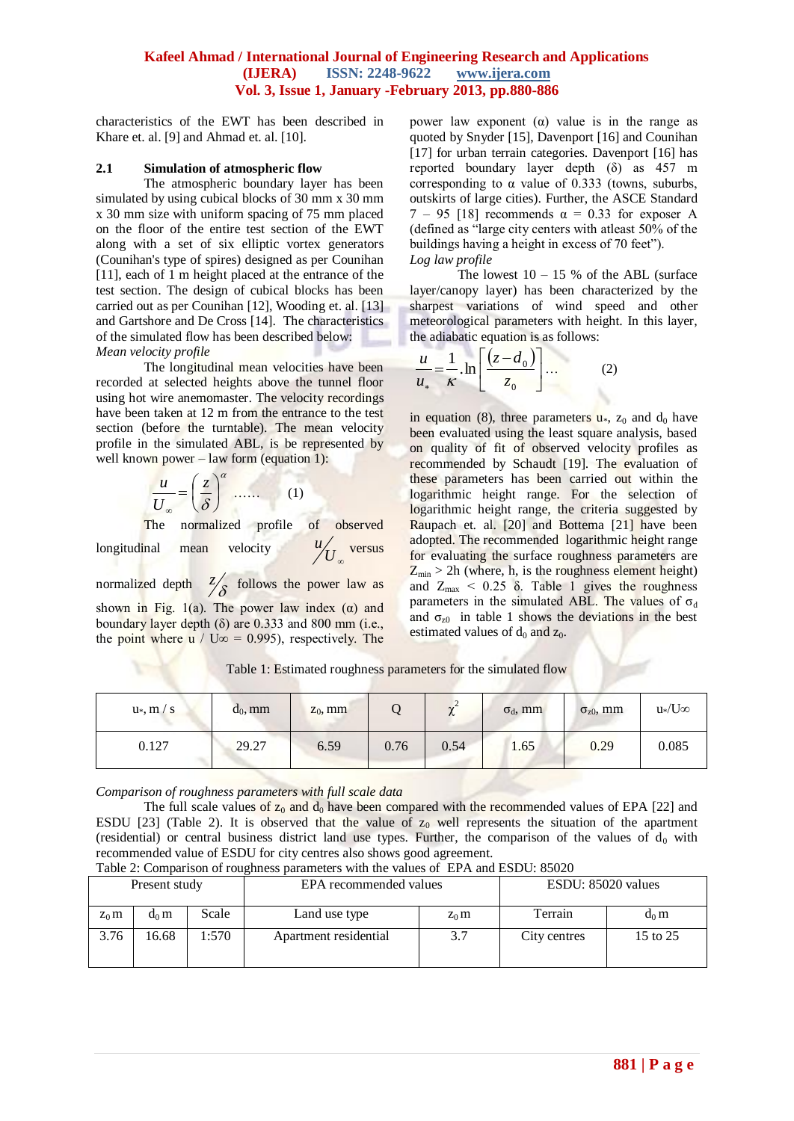characteristics of the EWT has been described in Khare et. al. [9] and Ahmad et. al. [10].

#### **2.1 Simulation of atmospheric flow**

The atmospheric boundary layer has been simulated by using cubical blocks of 30 mm x 30 mm x 30 mm size with uniform spacing of 75 mm placed on the floor of the entire test section of the EWT along with a set of six elliptic vortex generators (Counihan's type of spires) designed as per Counihan [11], each of 1 m height placed at the entrance of the test section. The design of cubical blocks has been carried out as per Counihan [12], Wooding et. al. [13] and Gartshore and De Cross [14]. The characteristics of the simulated flow has been described below: *Mean velocity profile*

The longitudinal mean velocities have been recorded at selected heights above the tunnel floor using hot wire anemomaster. The velocity recordings have been taken at 12 m from the entrance to the test section (before the turntable). The mean velocity profile in the simulated ABL, is be represented by well known power – law form (equation 1):

$$
\frac{u}{U_{\infty}} = \left(\frac{z}{\delta}\right)^{\alpha} \dots \dots \qquad (1)
$$

The normalized profile of observed longitudinal mean velocity  ${U}_{\infty}$  $u / \frac{u}{I}$  versus

normalized depth  $\frac{7}{8}$  follows the power law as shown in Fig. 1(a). The power law index ( $\alpha$ ) and boundary layer depth  $(\delta)$  are 0.333 and 800 mm (i.e., the point where u / U∞ = 0.995), respectively. The power law exponent ( $α$ ) value is in the range as quoted by Snyder [15], Davenport [16] and Counihan [17] for urban terrain categories. Davenport [16] has reported boundary layer depth (δ) as 457 m corresponding to  $\alpha$  value of 0.333 (towns, suburbs, outskirts of large cities). Further, the ASCE Standard 7 – 95 [18] recommends α = 0.33 for exposer A (defined as "large city centers with atleast 50% of the buildings having a height in excess of 70 feet"). *Log law profile*

The lowest  $10 - 15$  % of the ABL (surface layer/canopy layer) has been characterized by the sharpest variations of wind speed and other meteorological parameters with height. In this layer, the adiabatic equation is as follows:

$$
\frac{u}{u_*} = \frac{1}{\kappa} \cdot \ln \left[ \frac{(z - d_0)}{z_0} \right] \dots \tag{2}
$$

in equation (8), three parameters  $\mathbf{u}^*$ ,  $\mathbf{z}_0$  and  $\mathbf{d}_0$  have been evaluated using the least square analysis, based on quality of fit of observed velocity profiles as recommended by Schaudt [19]. The evaluation of these parameters has been carried out within the logarithmic height range. For the selection of logarithmic height range, the criteria suggested by Raupach et. al. [20] and Bottema [21] have been adopted. The recommended logarithmic height range for evaluating the surface roughness parameters are  $Z_{\text{min}} > 2h$  (where, h, is the roughness element height) and  $Z_{\text{max}}$  < 0.25  $\delta$ . Table 1 gives the roughness parameters in the simulated ABL. The values of  $\sigma_d$ and  $\sigma_{z0}$  in table 1 shows the deviations in the best estimated values of  $d_0$  and  $z_0$ .

| $u*, m/s$ | $d_0$ , mm | $z_0$ , mm |      | ∼    | $\sigma_d$ , mm | $\sigma_{z0}$ , mm | $u$ */U∞ |
|-----------|------------|------------|------|------|-----------------|--------------------|----------|
| 0.127     | 29.27      | 6.59       | 0.76 | 0.54 | 1.65            | 0.29               | 0.085    |

Table 1: Estimated roughness parameters for the simulated flow

*Comparison of roughness parameters with full scale data*

The full scale values of  $z_0$  and  $d_0$  have been compared with the recommended values of EPA [22] and ESDU [23] (Table 2). It is observed that the value of  $z_0$  well represents the situation of the apartment (residential) or central business district land use types. Further, the comparison of the values of  $d_0$  with recommended value of ESDU for city centres also shows good agreement.

| Table 2: Comparison of roughness parameters with the values of EPA and ESDU: 85020 |  |  |  |  |
|------------------------------------------------------------------------------------|--|--|--|--|
|                                                                                    |  |  |  |  |

| Present study |         |        | EPA recommended values |         | ESDU: 85020 values |          |  |
|---------------|---------|--------|------------------------|---------|--------------------|----------|--|
| $Z_0$ m       | $d_0$ m | Scale  | Land use type          | $Z_0$ m | Terrain            | $d_0$ m  |  |
| 3.76          | 16.68   | 1:570- | Apartment residential  | 3.7     | City centres       | 15 to 25 |  |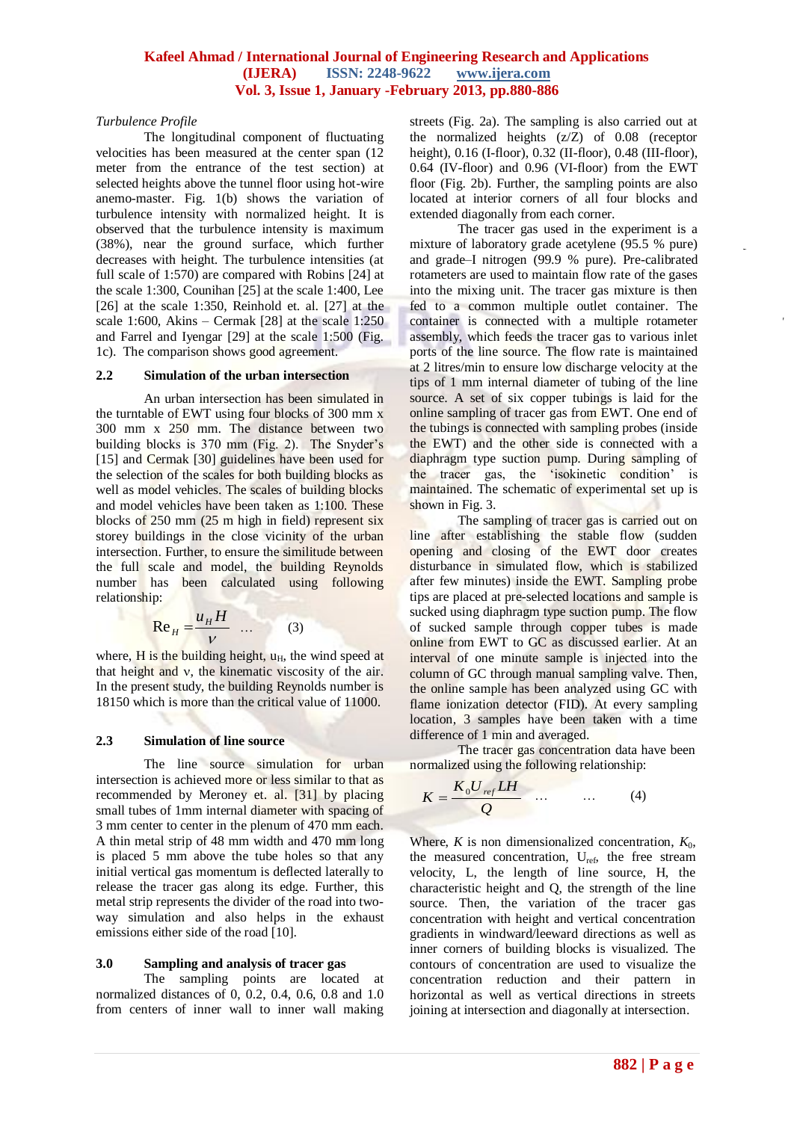#### *Turbulence Profile*

The longitudinal component of fluctuating velocities has been measured at the center span (12 meter from the entrance of the test section) at selected heights above the tunnel floor using hot-wire anemo-master. Fig. 1(b) shows the variation of turbulence intensity with normalized height. It is observed that the turbulence intensity is maximum (38%), near the ground surface, which further decreases with height. The turbulence intensities (at full scale of 1:570) are compared with Robins [24] at the scale 1:300, Counihan [25] at the scale 1:400, Lee [26] at the scale 1:350, Reinhold et. al. [27] at the scale 1:600, Akins – Cermak [28] at the scale 1:250 and Farrel and Iyengar [29] at the scale 1:500 (Fig. 1c). The comparison shows good agreement.

# **2.2 Simulation of the urban intersection**

An urban intersection has been simulated in the turntable of EWT using four blocks of 300 mm x 300 mm x 250 mm. The distance between two building blocks is 370 mm (Fig. 2). The Snyder's [15] and Cermak [30] guidelines have been used for the selection of the scales for both building blocks as well as model vehicles. The scales of building blocks and model vehicles have been taken as 1:100. These blocks of 250 mm (25 m high in field) represent six storey buildings in the close vicinity of the urban intersection. Further, to ensure the similitude between the full scale and model, the building Reynolds number has been calculated using following relationship:

$$
\operatorname{Re}_{H} = \frac{u_{H}H}{V} \quad \dots \quad (3)
$$

where, H is the building height,  $u_H$ , the wind speed at that height and  $v$ , the kinematic viscosity of the air. In the present study, the building Reynolds number is 18150 which is more than the critical value of 11000.

# **2.3 Simulation of line source**

The line source simulation for urban intersection is achieved more or less similar to that as recommended by Meroney et. al. [31] by placing small tubes of 1mm internal diameter with spacing of 3 mm center to center in the plenum of 470 mm each. A thin metal strip of 48 mm width and 470 mm long is placed 5 mm above the tube holes so that any initial vertical gas momentum is deflected laterally to release the tracer gas along its edge. Further, this metal strip represents the divider of the road into twoway simulation and also helps in the exhaust emissions either side of the road [10].

# **3.0 Sampling and analysis of tracer gas**

The sampling points are located at normalized distances of 0, 0.2, 0.4, 0.6, 0.8 and 1.0 from centers of inner wall to inner wall making

streets (Fig. 2a). The sampling is also carried out at the normalized heights (z/Z) of 0.08 (receptor height), 0.16 (I-floor), 0.32 (II-floor), 0.48 (III-floor), 0.64 (IV-floor) and 0.96 (VI-floor) from the EWT floor (Fig. 2b). Further, the sampling points are also located at interior corners of all four blocks and extended diagonally from each corner.

The tracer gas used in the experiment is a mixture of laboratory grade acetylene (95.5 % pure) and grade–I nitrogen (99.9 % pure). Pre-calibrated rotameters are used to maintain flow rate of the gases into the mixing unit. The tracer gas mixture is then fed to a common multiple outlet container. The container is connected with a multiple rotameter assembly, which feeds the tracer gas to various inlet ports of the line source. The flow rate is maintained at 2 litres/min to ensure low discharge velocity at the tips of 1 mm internal diameter of tubing of the line source. A set of six copper tubings is laid for the online sampling of tracer gas from EWT. One end of the tubings is connected with sampling probes (inside the EWT) and the other side is connected with a diaphragm type suction pump. During sampling of the tracer gas, the "isokinetic condition" is maintained. The schematic of experimental set up is shown in Fig. 3.

The sampling of tracer gas is carried out on line after establishing the stable flow (sudden opening and closing of the EWT door creates disturbance in simulated flow, which is stabilized after few minutes) inside the EWT. Sampling probe tips are placed at pre-selected locations and sample is sucked using diaphragm type suction pump. The flow of sucked sample through copper tubes is made online from EWT to GC as discussed earlier. At an interval of one minute sample is injected into the column of GC through manual sampling valve. Then, the online sample has been analyzed using GC with flame ionization detector (FID). At every sampling location, 3 samples have been taken with a time difference of 1 min and averaged.

The tracer gas concentration data have been normalized using the following relationship:

$$
K = \frac{K_0 U_{ref} L H}{Q} \qquad \qquad \dots \qquad (4)
$$

Where,  $K$  is non dimensionalized concentration,  $K_0$ , the measured concentration, U<sub>ref</sub>, the free stream velocity, L, the length of line source, H, the characteristic height and Q, the strength of the line source. Then, the variation of the tracer gas concentration with height and vertical concentration gradients in windward/leeward directions as well as inner corners of building blocks is visualized. The contours of concentration are used to visualize the concentration reduction and their pattern in horizontal as well as vertical directions in streets joining at intersection and diagonally at intersection.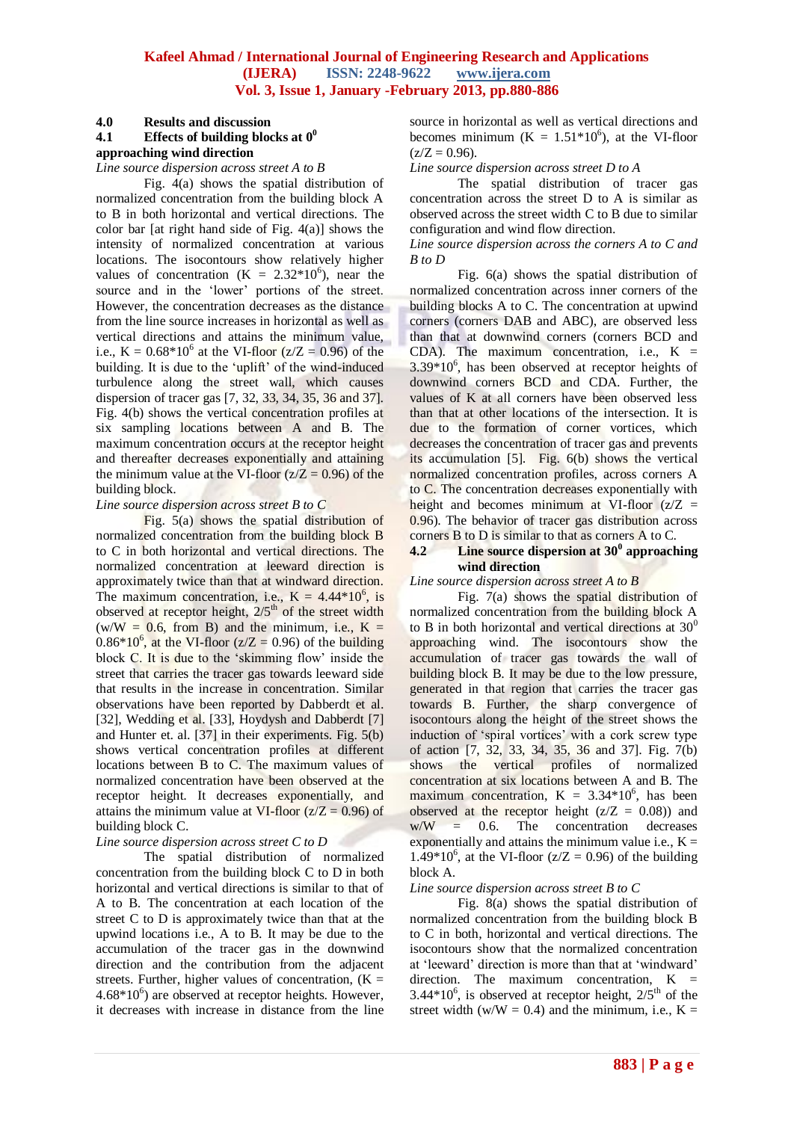#### **4.0 Results and discussion**

# **4.1 Effects of building blocks at 0<sup>0</sup>**

# **approaching wind direction**

*Line source dispersion across street A to B*

Fig. 4(a) shows the spatial distribution of normalized concentration from the building block A to B in both horizontal and vertical directions. The color bar [at right hand side of Fig.  $4(a)$ ] shows the intensity of normalized concentration at various locations. The isocontours show relatively higher values of concentration  $(K = 2.32*10<sup>6</sup>)$ , near the source and in the 'lower' portions of the street. However, the concentration decreases as the distance from the line source increases in horizontal as well as vertical directions and attains the minimum value, i.e.,  $K = 0.68*10^6$  at the VI-floor ( $z/Z = 0.96$ ) of the building. It is due to the 'uplift' of the wind-induced turbulence along the street wall, which causes dispersion of tracer gas [7, 32, 33, 34, 35, 36 and 37]. Fig. 4(b) shows the vertical concentration profiles at six sampling locations between A and B. The maximum concentration occurs at the receptor height and thereafter decreases exponentially and attaining the minimum value at the VI-floor  $(z/Z = 0.96)$  of the building block.

#### *Line source dispersion across street B to C*

Fig. 5(a) shows the spatial distribution of normalized concentration from the building block B to C in both horizontal and vertical directions. The normalized concentration at leeward direction is approximately twice than that at windward direction. The maximum concentration, i.e.,  $K = 4.44*10^6$ , is observed at receptor height,  $2/5<sup>th</sup>$  of the street width  $(w/W = 0.6$ , from B) and the minimum, i.e.,  $K =$  $0.86*10^6$ , at the VI-floor ( $z/Z = 0.96$ ) of the building block C. It is due to the 'skimming flow' inside the street that carries the tracer gas towards leeward side that results in the increase in concentration. Similar observations have been reported by Dabberdt et al. [32], Wedding et al. [33], Hoydysh and Dabberdt [7] and Hunter et. al. [37] in their experiments. Fig. 5(b) shows vertical concentration profiles at different locations between B to C. The maximum values of normalized concentration have been observed at the receptor height. It decreases exponentially, and attains the minimum value at VI-floor  $(z/Z = 0.96)$  of building block C.

# *Line source dispersion across street C to D*

The spatial distribution of normalized concentration from the building block C to D in both horizontal and vertical directions is similar to that of A to B. The concentration at each location of the street C to D is approximately twice than that at the upwind locations i.e., A to B. It may be due to the accumulation of the tracer gas in the downwind direction and the contribution from the adjacent streets. Further, higher values of concentration,  $(K =$  $4.68*10<sup>6</sup>$ ) are observed at receptor heights. However, it decreases with increase in distance from the line

source in horizontal as well as vertical directions and becomes minimum  $(K = 1.51*10<sup>6</sup>)$ , at the VI-floor  $(z/Z = 0.96)$ .

*Line source dispersion across street D to A*

The spatial distribution of tracer gas concentration across the street D to A is similar as observed across the street width C to B due to similar configuration and wind flow direction.

*Line source dispersion across the corners A to C and B to D*

Fig. 6(a) shows the spatial distribution of normalized concentration across inner corners of the building blocks A to C. The concentration at upwind corners (corners DAB and ABC), are observed less than that at downwind corners (corners BCD and CDA). The maximum concentration, i.e.,  $K =$  $3.39*10<sup>6</sup>$ , has been observed at receptor heights of downwind corners BCD and CDA. Further, the values of K at all corners have been observed less than that at other locations of the intersection. It is due to the formation of corner vortices, which decreases the concentration of tracer gas and prevents its accumulation [5]. Fig. 6(b) shows the vertical normalized concentration profiles, across corners A to C. The concentration decreases exponentially with height and becomes minimum at VI-floor  $(z/Z =$ 0.96). The behavior of tracer gas distribution across corners B to D is similar to that as corners A to C.

#### **4.2 Line source dispersion at 30<sup>0</sup> approaching wind direction**

*Line source dispersion across street A to B*

Fig. 7(a) shows the spatial distribution of normalized concentration from the building block A to B in both horizontal and vertical directions at  $30^0$ approaching wind. The isocontours show the accumulation of tracer gas towards the wall of building block B. It may be due to the low pressure, generated in that region that carries the tracer gas towards B. Further, the sharp convergence of isocontours along the height of the street shows the induction of 'spiral vortices' with a cork screw type of action [7, 32, 33, 34, 35, 36 and 37]. Fig. 7(b) shows the vertical profiles of normalized concentration at six locations between A and B. The maximum concentration,  $K = 3.34*10^6$ , has been observed at the receptor height  $(z/Z = 0.08)$  and  $w/W = 0.6$ . The concentration decreases exponentially and attains the minimum value i.e.,  $K =$ 1.49\*10<sup>6</sup>, at the VI-floor ( $z/Z = 0.96$ ) of the building block A.

#### *Line source dispersion across street B to C*

Fig. 8(a) shows the spatial distribution of normalized concentration from the building block B to C in both, horizontal and vertical directions. The isocontours show that the normalized concentration at "leeward" direction is more than that at "windward" direction. The maximum concentration,  $K =$ 3.44 $*10^6$ , is observed at receptor height,  $2/5^{\text{th}}$  of the street width (w/W = 0.4) and the minimum, i.e.,  $K =$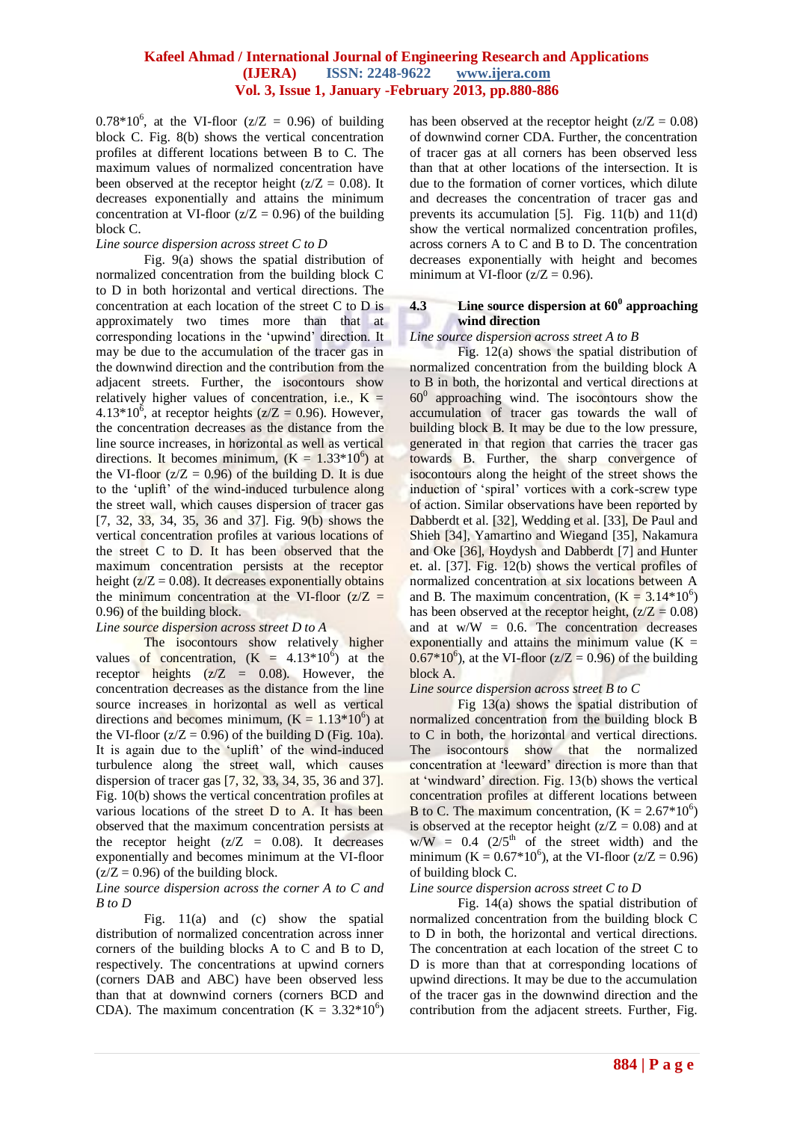$0.78*10^6$ , at the VI-floor ( $z/Z = 0.96$ ) of building block C. Fig. 8(b) shows the vertical concentration profiles at different locations between B to C. The maximum values of normalized concentration have been observed at the receptor height ( $z/Z = 0.08$ ). It decreases exponentially and attains the minimum concentration at VI-floor  $(z/Z = 0.96)$  of the building block C.

#### *Line source dispersion across street C to D*

Fig. 9(a) shows the spatial distribution of normalized concentration from the building block C to D in both horizontal and vertical directions. The concentration at each location of the street C to D is approximately two times more than that at corresponding locations in the "upwind" direction. It may be due to the accumulation of the tracer gas in the downwind direction and the contribution from the adjacent streets. Further, the isocontours show relatively higher values of concentration, i.e.,  $K =$ 4.13\*10<sup>6</sup>, at receptor heights ( $z/Z = 0.96$ ). However, the concentration decreases as the distance from the line source increases, in horizontal as well as vertical directions. It becomes minimum,  $(K = 1.33*10<sup>6</sup>)$  at the VI-floor  $(z/Z = 0.96)$  of the building D. It is due to the 'uplift' of the wind-induced turbulence along the street wall, which causes dispersion of tracer gas [7, 32, 33, 34, 35, 36 and 37]. Fig. 9(b) shows the vertical concentration profiles at various locations of the street C to D. It has been observed that the maximum concentration persists at the receptor height  $(z/Z = 0.08)$ . It decreases exponentially obtains the minimum concentration at the VI-floor  $(z/Z =$ 0.96) of the building block.

#### *Line source dispersion across street D to A*

The isocontours show relatively higher values of concentration,  $(K = 4.13*10^6)$  at the receptor heights  $(z/Z = 0.08)$ . However, the concentration decreases as the distance from the line source increases in horizontal as well as vertical directions and becomes minimum,  $(K = 1.13*10<sup>6</sup>)$  at the VI-floor  $(z/Z = 0.96)$  of the building D (Fig. 10a). It is again due to the 'uplift' of the wind-induced turbulence along the street wall, which causes dispersion of tracer gas [7, 32, 33, 34, 35, 36 and 37]. Fig. 10(b) shows the vertical concentration profiles at various locations of the street D to A. It has been observed that the maximum concentration persists at the receptor height  $(z/Z = 0.08)$ . It decreases exponentially and becomes minimum at the VI-floor  $(z/Z = 0.96)$  of the building block.

#### *Line source dispersion across the corner A to C and B to D*

Fig. 11(a) and (c) show the spatial distribution of normalized concentration across inner corners of the building blocks A to C and B to D, respectively. The concentrations at upwind corners (corners DAB and ABC) have been observed less than that at downwind corners (corners BCD and CDA). The maximum concentration  $(K = 3.32*10<sup>6</sup>)$  has been observed at the receptor height  $(z/Z = 0.08)$ of downwind corner CDA. Further, the concentration of tracer gas at all corners has been observed less than that at other locations of the intersection. It is due to the formation of corner vortices, which dilute and decreases the concentration of tracer gas and prevents its accumulation [5]. Fig. 11(b) and 11(d) show the vertical normalized concentration profiles, across corners A to C and B to D. The concentration decreases exponentially with height and becomes minimum at VI-floor  $(z/Z = 0.96)$ .

# **4.3 Line source dispersion at 60<sup>0</sup> approaching wind direction**

#### *Line source dispersion across street A to B*

Fig. 12(a) shows the spatial distribution of normalized concentration from the building block A to B in both, the horizontal and vertical directions at 60<sup>0</sup> approaching wind. The isocontours show the accumulation of tracer gas towards the wall of building block B. It may be due to the low pressure, generated in that region that carries the tracer gas towards B. Further, the sharp convergence of isocontours along the height of the street shows the induction of "spiral" vortices with a cork-screw type of action. Similar observations have been reported by Dabberdt et al. [32], Wedding et al. [33], De Paul and Shieh [34], Yamartino and Wiegand [35], Nakamura and Oke [36], Hoydysh and Dabberdt [7] and Hunter et. al. [37]. Fig. 12(b) shows the vertical profiles of normalized concentration at six locations between A and B. The maximum concentration,  $(K = 3.14*10^6)$ has been observed at the receptor height,  $(z/Z = 0.08)$ and at  $w/W = 0.6$ . The concentration decreases exponentially and attains the minimum value  $(K =$  $0.67*10^6$ ), at the VI-floor ( $z/Z = 0.96$ ) of the building block A.

#### *Line source dispersion across street B to C*

Fig 13(a) shows the spatial distribution of normalized concentration from the building block B to C in both, the horizontal and vertical directions. The isocontours show that the normalized concentration at "leeward" direction is more than that at "windward" direction. Fig. 13(b) shows the vertical concentration profiles at different locations between B to C. The maximum concentration,  $(K = 2.67*10^6)$ is observed at the receptor height  $(z/Z = 0.08)$  and at  $w/W = 0.4$  (2/5<sup>th</sup> of the street width) and the minimum ( $K = 0.67*10^6$ ), at the VI-floor ( $z/Z = 0.96$ ) of building block C.

#### *Line source dispersion across street C to D*

Fig. 14(a) shows the spatial distribution of normalized concentration from the building block C to D in both, the horizontal and vertical directions. The concentration at each location of the street C to D is more than that at corresponding locations of upwind directions. It may be due to the accumulation of the tracer gas in the downwind direction and the contribution from the adjacent streets. Further, Fig.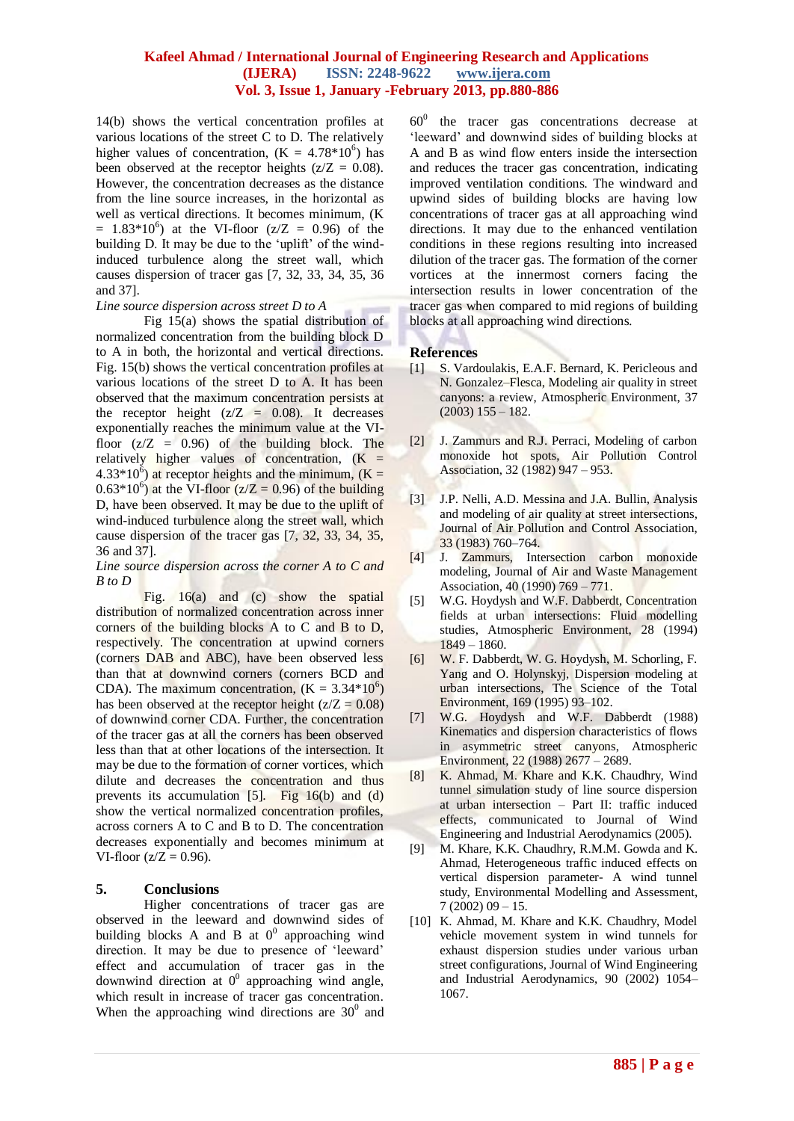14(b) shows the vertical concentration profiles at various locations of the street C to D. The relatively higher values of concentration,  $(K = 4.78*10^6)$  has been observed at the receptor heights  $(z/Z = 0.08)$ . However, the concentration decreases as the distance from the line source increases, in the horizontal as well as vertical directions. It becomes minimum, (K  $= 1.83*10^{6}$  at the VI-floor (z/Z = 0.96) of the building D. It may be due to the 'uplift' of the windinduced turbulence along the street wall, which causes dispersion of tracer gas [7, 32, 33, 34, 35, 36 and 37].

#### *Line source dispersion across street D to A*

Fig 15(a) shows the spatial distribution of normalized concentration from the building block D to A in both, the horizontal and vertical directions. Fig. 15(b) shows the vertical concentration profiles at various locations of the street D to A. It has been observed that the maximum concentration persists at the receptor height  $(z/Z = 0.08)$ . It decreases exponentially reaches the minimum value at the VIfloor  $(z/Z = 0.96)$  of the building block. The relatively higher values of concentration,  $(K =$  $4.33*10^{6}$ ) at receptor heights and the minimum, (K =  $(0.63*10^6)$  at the VI-floor ( $z/Z = 0.96$ ) of the building D, have been observed. It may be due to the uplift of wind-induced turbulence along the street wall, which cause dispersion of the tracer gas [7, 32, 33, 34, 35, 36 and 37].

#### *Line source dispersion across the corner A to C and B to D*

Fig. 16(a) and (c) show the spatial distribution of normalized concentration across inner corners of the building blocks A to C and B to D, respectively. The concentration at upwind corners (corners DAB and ABC), have been observed less than that at downwind corners (corners BCD and CDA). The maximum concentration,  $(K = 3.34*10<sup>6</sup>)$ has been observed at the receptor height  $(z/Z = 0.08)$ of downwind corner CDA. Further, the concentration of the tracer gas at all the corners has been observed less than that at other locations of the intersection. It may be due to the formation of corner vortices, which dilute and decreases the concentration and thus prevents its accumulation [5]. Fig 16(b) and (d) show the vertical normalized concentration profiles, across corners A to C and B to D. The concentration decreases exponentially and becomes minimum at VI-floor  $(z/Z = 0.96)$ .

# **5. Conclusions**

Higher concentrations of tracer gas are observed in the leeward and downwind sides of building blocks A and B at  $0^0$  approaching wind direction. It may be due to presence of "leeward" effect and accumulation of tracer gas in the downwind direction at  $0^0$  approaching wind angle, which result in increase of tracer gas concentration. When the approaching wind directions are  $30^{\circ}$  and

 $60<sup>0</sup>$  the tracer gas concentrations decrease at 'leeward' and downwind sides of building blocks at A and B as wind flow enters inside the intersection and reduces the tracer gas concentration, indicating improved ventilation conditions. The windward and upwind sides of building blocks are having low concentrations of tracer gas at all approaching wind directions. It may due to the enhanced ventilation conditions in these regions resulting into increased dilution of the tracer gas. The formation of the corner vortices at the innermost corners facing the intersection results in lower concentration of the tracer gas when compared to mid regions of building blocks at all approaching wind directions.

# **References**

- [1] S. Vardoulakis, E.A.F. Bernard, K. Pericleous and N. Gonzalez–Flesca, Modeling air quality in street canyons: a review, Atmospheric Environment, 37  $(2003)$  155 – 182.
- [2] J. Zammurs and R.J. Perraci, Modeling of carbon monoxide hot spots, Air Pollution Control Association, 32 (1982) 947 – 953.
- [3] J.P. Nelli, A.D. Messina and J.A. Bullin, Analysis and modeling of air quality at street intersections, Journal of Air Pollution and Control Association, 33 (1983) 760–764.
- [4] J. Zammurs, Intersection carbon monoxide modeling, Journal of Air and Waste Management Association, 40 (1990) 769 – 771.
- [5] W.G. Hoydysh and W.F. Dabberdt, Concentration fields at urban intersections: Fluid modelling studies, Atmospheric Environment, 28 (1994) 1849 – 1860.
- [6] W. F. Dabberdt, W. G. Hoydysh, M. Schorling, F. Yang and O. Holynskyj, Dispersion modeling at urban intersections, The Science of the Total Environment, 169 (1995) 93–102.
- [7] W.G. Hoydysh and W.F. Dabberdt (1988) Kinematics and dispersion characteristics of flows in asymmetric street canyons, Atmospheric Environment, 22 (1988) 2677 – 2689.
- [8] K. Ahmad, M. Khare and K.K. Chaudhry, Wind tunnel simulation study of line source dispersion at urban intersection – Part II: traffic induced effects, communicated to Journal of Wind Engineering and Industrial Aerodynamics (2005).
- [9] M. Khare, K.K. Chaudhry, R.M.M. Gowda and K. Ahmad, Heterogeneous traffic induced effects on vertical dispersion parameter- A wind tunnel study, Environmental Modelling and Assessment,  $7(2002)09 - 15.$
- [10] K. Ahmad, M. Khare and K.K. Chaudhry, Model vehicle movement system in wind tunnels for exhaust dispersion studies under various urban street configurations, Journal of Wind Engineering and Industrial Aerodynamics, 90 (2002) 1054– 1067.